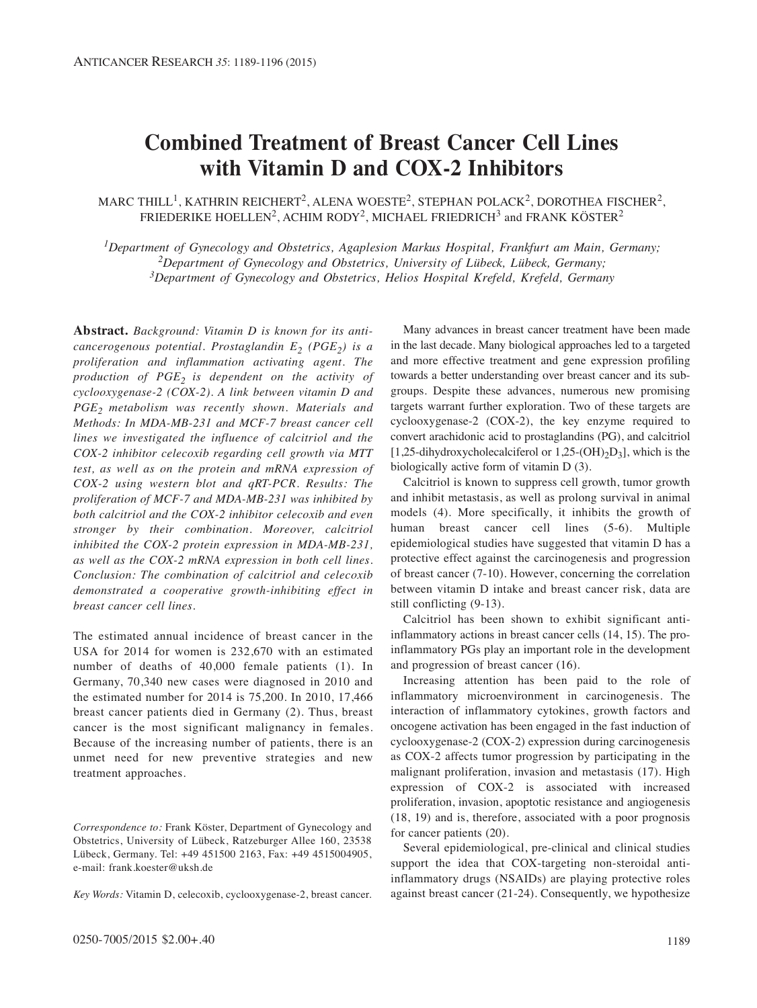# **Combined Treatment of Breast Cancer Cell Lines with Vitamin D and COX-2 Inhibitors**

MARC THILL<sup>1</sup>, KATHRIN REICHERT<sup>2</sup>, ALENA WOESTE<sup>2</sup>, STEPHAN POLACK<sup>2</sup>, DOROTHEA FISCHER<sup>2</sup>, FRIEDERIKE HOELLEN<sup>2</sup>, ACHIM RODY<sup>2</sup>, MICHAEL FRIEDRICH<sup>3</sup> and FRANK KÖSTER<sup>2</sup>

*1Department of Gynecology and Obstetrics, Agaplesion Markus Hospital, Frankfurt am Main, Germany; 2Department of Gynecology and Obstetrics, University of Lübeck, Lübeck, Germany; 3Department of Gynecology and Obstetrics, Helios Hospital Krefeld, Krefeld, Germany*

**Abstract.** *Background: Vitamin D is known for its anticancerogenous potential. Prostaglandin E<sub>2</sub> (PGE<sub>2</sub>) is a proliferation and inflammation activating agent. The production of PGE2 is dependent on the activity of cyclooxygenase-2 (COX-2). A link between vitamin D and PGE2 metabolism was recently shown. Materials and Methods: In MDA-MB-231 and MCF-7 breast cancer cell lines we investigated the influence of calcitriol and the COX-2 inhibitor celecoxib regarding cell growth via MTT test, as well as on the protein and mRNA expression of COX-2 using western blot and qRT-PCR. Results: The proliferation of MCF-7 and MDA-MB-231 was inhibited by both calcitriol and the COX-2 inhibitor celecoxib and even stronger by their combination. Moreover, calcitriol inhibited the COX-2 protein expression in MDA-MB-231, as well as the COX-2 mRNA expression in both cell lines. Conclusion: The combination of calcitriol and celecoxib demonstrated a cooperative growth-inhibiting effect in breast cancer cell lines.*

The estimated annual incidence of breast cancer in the USA for 2014 for women is 232,670 with an estimated number of deaths of 40,000 female patients (1). In Germany, 70,340 new cases were diagnosed in 2010 and the estimated number for 2014 is 75,200. In 2010, 17,466 breast cancer patients died in Germany (2). Thus, breast cancer is the most significant malignancy in females. Because of the increasing number of patients, there is an unmet need for new preventive strategies and new treatment approaches.

*Key Words:* Vitamin D, celecoxib, cyclooxygenase-2, breast cancer.

Many advances in breast cancer treatment have been made in the last decade. Many biological approaches led to a targeted and more effective treatment and gene expression profiling towards a better understanding over breast cancer and its subgroups. Despite these advances, numerous new promising targets warrant further exploration. Two of these targets are cyclooxygenase-2 (COX-2), the key enzyme required to convert arachidonic acid to prostaglandins (PG), and calcitriol  $[1,25$ -dihydroxycholecalciferol or  $1,25$ -(OH)<sub>2</sub>D<sub>3</sub>], which is the biologically active form of vitamin D (3).

Calcitriol is known to suppress cell growth, tumor growth and inhibit metastasis, as well as prolong survival in animal models (4). More specifically, it inhibits the growth of human breast cancer cell lines (5-6). Multiple epidemiological studies have suggested that vitamin D has a protective effect against the carcinogenesis and progression of breast cancer (7-10). However, concerning the correlation between vitamin D intake and breast cancer risk, data are still conflicting (9-13).

Calcitriol has been shown to exhibit significant antiinflammatory actions in breast cancer cells (14, 15). The proinflammatory PGs play an important role in the development and progression of breast cancer (16).

Increasing attention has been paid to the role of inflammatory microenvironment in carcinogenesis. The interaction of inflammatory cytokines, growth factors and oncogene activation has been engaged in the fast induction of cyclooxygenase-2 (COX-2) expression during carcinogenesis as COX-2 affects tumor progression by participating in the malignant proliferation, invasion and metastasis (17). High expression of COX-2 is associated with increased proliferation, invasion, apoptotic resistance and angiogenesis (18, 19) and is, therefore, associated with a poor prognosis for cancer patients (20).

Several epidemiological, pre-clinical and clinical studies support the idea that COX-targeting non-steroidal antiinflammatory drugs (NSAIDs) are playing protective roles against breast cancer (21-24). Consequently, we hypothesize

*Correspondence to:* Frank Köster, Department of Gynecology and Obstetrics, University of Lübeck, Ratzeburger Allee 160, 23538 Lübeck, Germany. Tel: +49 451500 2163, Fax: +49 4515004905, e-mail: frank.koester@uksh.de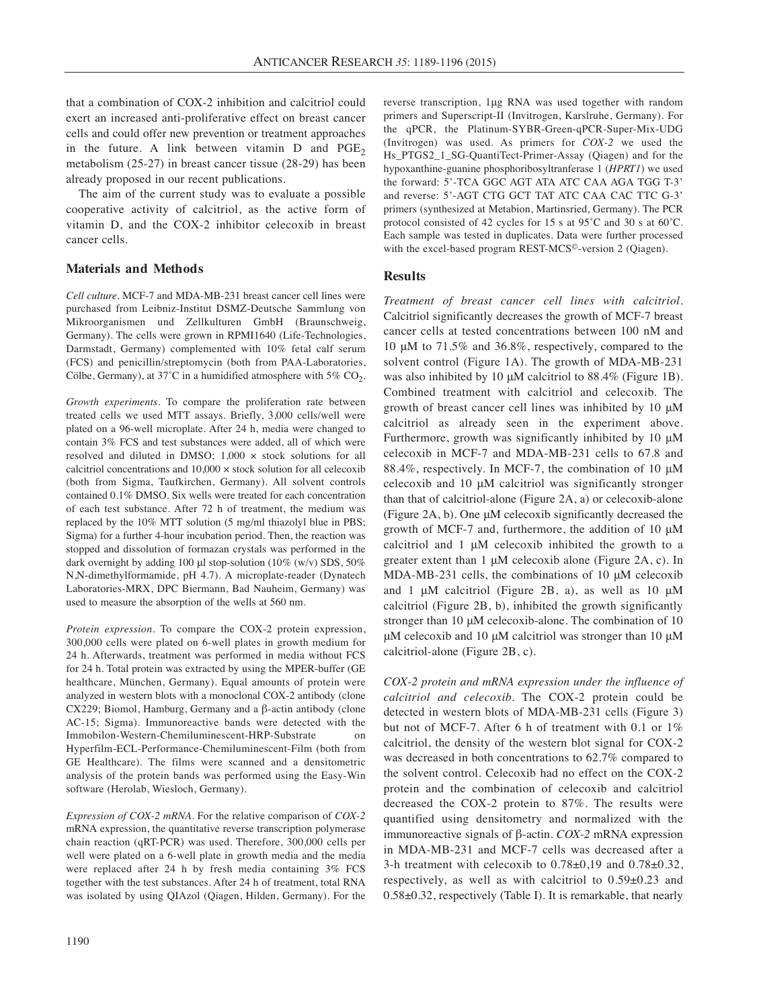that a combination of COX-2 inhibition and calcitriol could exert an increased anti-proliferative effect on breast cancer cells and could offer new prevention or treatment approaches in the future. A link between vitamin  $D$  and  $PGE<sub>2</sub>$ metabolism (25-27) in breast cancer tissue (28-29) has been already proposed in our recent publications.

The aim of the current study was to evaluate a possible cooperative activity of calcitriol, as the active form of vitamin D, and the COX-2 inhibitor celecoxib in breast cancer cells.

## **Materials and Methods**

*Cell culture.* MCF-7 and MDA-MB-231 breast cancer cell lines were purchased from Leibniz-Institut DSMZ-Deutsche Sammlung von Mikroorganismen und Zellkulturen GmbH (Braunschweig, Germany). The cells were grown in RPMI1640 (Life-Technologies, Darmstadt, Germany) complemented with 10% fetal calf serum (FCS) and penicillin/streptomycin (both from PAA-Laboratories, Cölbe, Germany), at  $37^{\circ}$ C in a humidified atmosphere with  $5\%$  CO<sub>2</sub>.

*Growth experiments.* To compare the proliferation rate between treated cells we used MTT assays. Briefly, 3,000 cells/well were plated on a 96-well microplate. After 24 h, media were changed to contain 3% FCS and test substances were added, all of which were resolved and diluted in DMSO;  $1,000 \times$  stock solutions for all calcitriol concentrations and 10,000 × stock solution for all celecoxib (both from Sigma, Taufkirchen, Germany). All solvent controls contained 0.1% DMSO. Six wells were treated for each concentration of each test substance. After 72 h of treatment, the medium was replaced by the 10% MTT solution (5 mg/ml thiazolyl blue in PBS; Sigma) for a further 4-hour incubation period. Then, the reaction was stopped and dissolution of formazan crystals was performed in the dark overnight by adding 100 μl stop-solution (10% (w/v) SDS, 50% N,N-dimethylformamide, pH 4.7). A microplate-reader (Dynatech Laboratories-MRX, DPC Biermann, Bad Nauheim, Germany) was used to measure the absorption of the wells at 560 nm.

*Protein expression.* To compare the COX-2 protein expression, 300,000 cells were plated on 6-well plates in growth medium for 24 h. Afterwards, treatment was performed in media without FCS for 24 h. Total protein was extracted by using the MPER-buffer (GE healthcare, München, Germany). Equal amounts of protein were analyzed in western blots with a monoclonal COX-2 antibody (clone CX229; Biomol, Hamburg, Germany and a β-actin antibody (clone AC-15; Sigma). Immunoreactive bands were detected with the Immobilon-Western-Chemiluminescent-HRP-Substrate on Hyperfilm-ECL-Performance-Chemiluminescent-Film (both from GE Healthcare). The films were scanned and a densitometric analysis of the protein bands was performed using the Easy-Win software (Herolab, Wiesloch, Germany).

*Expression of COX-2 mRNA.* For the relative comparison of *COX-2* mRNA expression, the quantitative reverse transcription polymerase chain reaction (qRT-PCR) was used. Therefore, 300,000 cells per well were plated on a 6-well plate in growth media and the media were replaced after 24 h by fresh media containing 3% FCS together with the test substances. After 24 h of treatment, total RNA was isolated by using QIAzol (Qiagen, Hilden, Germany). For the reverse transcription, 1μg RNA was used together with random primers and Superscript-II (Invitrogen, Karslruhe, Germany). For the qPCR, the Platinum-SYBR-Green-qPCR-Super-Mix-UDG (Invitrogen) was used. As primers for *COX-2* we used the Hs\_PTGS2\_1\_SG-QuantiTect-Primer-Assay (Qiagen) and for the hypoxanthine-guanine phosphoribosyltranferase 1 (*HPRT1*) we used the forward: 5'-TCA GGC AGT ATA ATC CAA AGA TGG T-3' and reverse: 5'-AGT CTG GCT TAT ATC CAA CAC TTC G-3' primers (synthesized at Metabion, Martinsried, Germany). The PCR protocol consisted of 42 cycles for 15 s at 95˚C and 30 s at 60˚C. Each sample was tested in duplicates. Data were further processed with the excel-based program REST-MCS<sup>©</sup>-version 2 (Oiagen).

# **Results**

*Treatment of breast cancer cell lines with calcitriol.* Calcitriol significantly decreases the growth of MCF-7 breast cancer cells at tested concentrations between 100 nM and 10 μM to 71.5% and 36.8%, respectively, compared to the solvent control (Figure 1A). The growth of MDA-MB-231 was also inhibited by 10 μM calcitriol to 88.4% (Figure 1B). Combined treatment with calcitriol and celecoxib. The growth of breast cancer cell lines was inhibited by 10 μM calcitriol as already seen in the experiment above. Furthermore, growth was significantly inhibited by 10 μM celecoxib in MCF-7 and MDA-MB-231 cells to 67.8 and 88.4%, respectively. In MCF-7, the combination of 10 μM celecoxib and 10 μM calcitriol was significantly stronger than that of calcitriol-alone (Figure 2A, a) or celecoxib-alone (Figure 2A, b). One μM celecoxib significantly decreased the growth of MCF-7 and, furthermore, the addition of 10 μM calcitriol and 1 μM celecoxib inhibited the growth to a greater extent than 1 μM celecoxib alone (Figure 2A, c). In MDA-MB-231 cells, the combinations of 10 μM celecoxib and 1 μM calcitriol (Figure 2B, a), as well as 10 μM calcitriol (Figure 2B, b), inhibited the growth significantly stronger than 10 μM celecoxib-alone. The combination of 10 μM celecoxib and 10 μM calcitriol was stronger than 10 μM calcitriol-alone (Figure 2B, c).

*COX-2 protein and mRNA expression under the influence of calcitriol and celecoxib.* The COX-2 protein could be detected in western blots of MDA-MB-231 cells (Figure 3) but not of MCF-7. After 6 h of treatment with 0.1 or 1% calcitriol, the density of the western blot signal for COX-2 was decreased in both concentrations to 62.7% compared to the solvent control. Celecoxib had no effect on the COX-2 protein and the combination of celecoxib and calcitriol decreased the COX-2 protein to 87%. The results were quantified using densitometry and normalized with the immunoreactive signals of β-actin. *COX-2* mRNA expression in MDA-MB-231 and MCF-7 cells was decreased after a 3-h treatment with celecoxib to 0.78±0,19 and 0.78±0.32, respectively, as well as with calcitriol to 0.59±0.23 and 0.58±0.32, respectively (Table I). It is remarkable, that nearly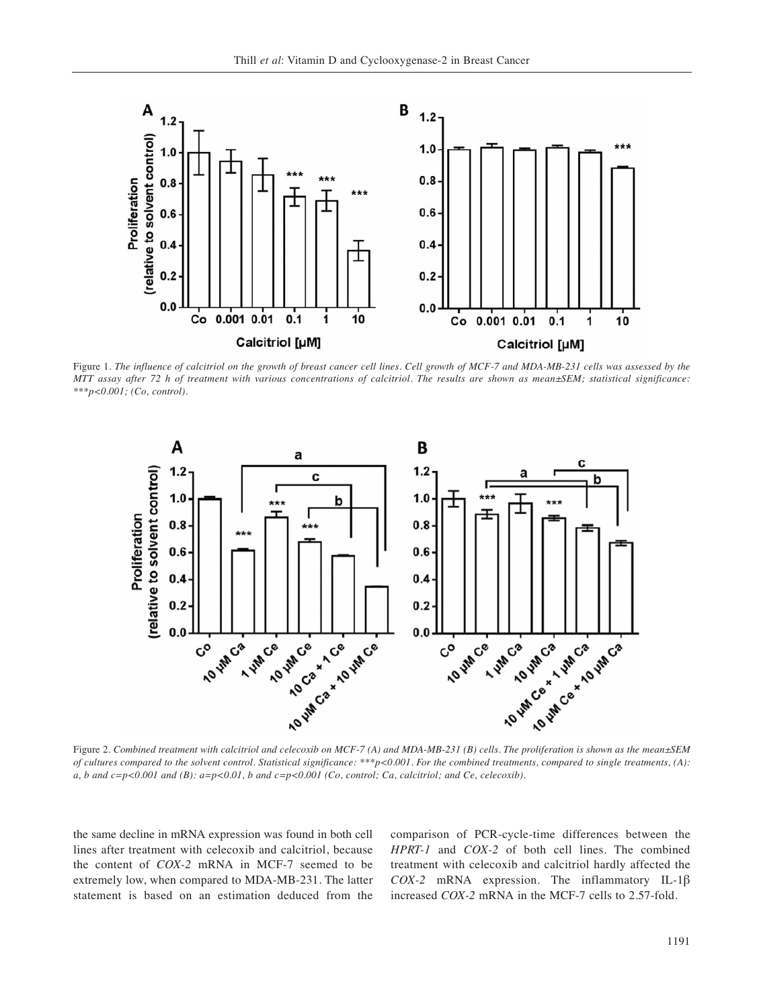

Figure 1. *The influence of calcitriol on the growth of breast cancer cell lines. Cell growth of MCF-7 and MDA-MB-231 cells was assessed by the MTT assay after 72 h of treatment with various concentrations of calcitriol. The results are shown as mean±SEM; statistical significance: \*\*\*p<0.001; (Co, control).*



*of cultures compared to the solvent control. Statistical significance: \*\*\*p<0.001. For the combined treatments, compared to single treatments, (A): a, b and c=p<0.001 and (B): a=p<0.01, b and c=p<0.001 (Co, control; Ca, calcitriol; and Ce, celecoxib).*

the same decline in mRNA expression was found in both cell lines after treatment with celecoxib and calcitriol, because the content of *COX-2* mRNA in MCF-7 seemed to be extremely low, when compared to MDA-MB-231. The latter statement is based on an estimation deduced from the comparison of PCR-cycle-time differences between the *HPRT-1* and *COX-2* of both cell lines. The combined treatment with celecoxib and calcitriol hardly affected the *COX-2* mRNA expression. The inflammatory IL-1β increased *COX-2* mRNA in the MCF-7 cells to 2.57-fold.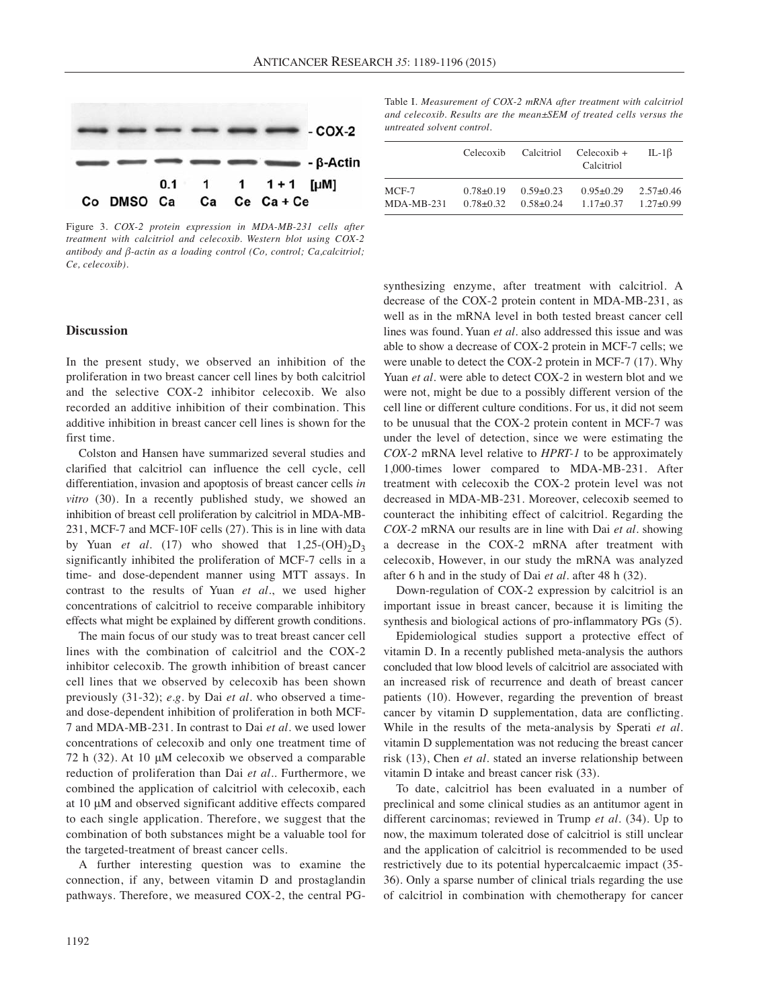

Figure 3. *COX-2 protein expression in MDA-MB-231 cells after treatment with calcitriol and celecoxib. Western blot using COX-2 antibody and β-actin as a loading control (Co, control; Ca,calcitriol; Ce, celecoxib).*

## **Discussion**

In the present study, we observed an inhibition of the proliferation in two breast cancer cell lines by both calcitriol and the selective COX-2 inhibitor celecoxib. We also recorded an additive inhibition of their combination. This additive inhibition in breast cancer cell lines is shown for the first time.

Colston and Hansen have summarized several studies and clarified that calcitriol can influence the cell cycle, cell differentiation, invasion and apoptosis of breast cancer cells *in vitro* (30). In a recently published study, we showed an inhibition of breast cell proliferation by calcitriol in MDA-MB-231, MCF-7 and MCF-10F cells (27). This is in line with data by Yuan *et al.* (17) who showed that  $1,25-(OH)_{2}D_{3}$ significantly inhibited the proliferation of MCF-7 cells in a time- and dose-dependent manner using MTT assays. In contrast to the results of Yuan *et al.*, we used higher concentrations of calcitriol to receive comparable inhibitory effects what might be explained by different growth conditions.

The main focus of our study was to treat breast cancer cell lines with the combination of calcitriol and the COX-2 inhibitor celecoxib. The growth inhibition of breast cancer cell lines that we observed by celecoxib has been shown previously (31-32); *e.g.* by Dai *et al.* who observed a timeand dose-dependent inhibition of proliferation in both MCF-7 and MDA-MB-231. In contrast to Dai *et al.* we used lower concentrations of celecoxib and only one treatment time of 72 h (32). At 10 μM celecoxib we observed a comparable reduction of proliferation than Dai *et al.*. Furthermore, we combined the application of calcitriol with celecoxib, each at 10 μM and observed significant additive effects compared to each single application. Therefore, we suggest that the combination of both substances might be a valuable tool for the targeted-treatment of breast cancer cells.

A further interesting question was to examine the connection, if any, between vitamin D and prostaglandin pathways. Therefore, we measured COX-2, the central PG- Table I. *Measurement of COX-2 mRNA after treatment with calcitriol and celecoxib. Results are the mean±SEM of treated cells versus the untreated solvent control.*

|              | Celecoxib       | Calcitriol      | $Celecoxib +$<br>Calcitriol | IL-1 $\beta$  |
|--------------|-----------------|-----------------|-----------------------------|---------------|
| $MCF-7$      | $0.78 \pm 0.19$ | $0.59 \pm 0.23$ | $0.95 \pm 0.29$             | $2.57\pm0.46$ |
| $MDA-MB-231$ | $0.78 + 0.32$   | $0.58 + 0.24$   | $1.17\pm 0.37$              | $1.27\pm0.99$ |

synthesizing enzyme, after treatment with calcitriol. A decrease of the COX-2 protein content in MDA-MB-231, as well as in the mRNA level in both tested breast cancer cell lines was found. Yuan *et al.* also addressed this issue and was able to show a decrease of COX-2 protein in MCF-7 cells; we were unable to detect the COX-2 protein in MCF-7 (17). Why Yuan *et al.* were able to detect COX-2 in western blot and we were not, might be due to a possibly different version of the cell line or different culture conditions. For us, it did not seem to be unusual that the COX-2 protein content in MCF-7 was under the level of detection, since we were estimating the *COX-2* mRNA level relative to *HPRT-1* to be approximately 1,000-times lower compared to MDA-MB-231. After treatment with celecoxib the COX-2 protein level was not decreased in MDA-MB-231. Moreover, celecoxib seemed to counteract the inhibiting effect of calcitriol. Regarding the *COX-2* mRNA our results are in line with Dai *et al.* showing a decrease in the COX-2 mRNA after treatment with celecoxib, However, in our study the mRNA was analyzed after 6 h and in the study of Dai *et al.* after 48 h (32).

Down-regulation of COX-2 expression by calcitriol is an important issue in breast cancer, because it is limiting the synthesis and biological actions of pro-inflammatory PGs (5).

Epidemiological studies support a protective effect of vitamin D. In a recently published meta-analysis the authors concluded that low blood levels of calcitriol are associated with an increased risk of recurrence and death of breast cancer patients (10). However, regarding the prevention of breast cancer by vitamin D supplementation, data are conflicting. While in the results of the meta-analysis by Sperati *et al.* vitamin D supplementation was not reducing the breast cancer risk (13), Chen *et al.* stated an inverse relationship between vitamin D intake and breast cancer risk (33).

To date, calcitriol has been evaluated in a number of preclinical and some clinical studies as an antitumor agent in different carcinomas; reviewed in Trump *et al.* (34). Up to now, the maximum tolerated dose of calcitriol is still unclear and the application of calcitriol is recommended to be used restrictively due to its potential hypercalcaemic impact (35- 36). Only a sparse number of clinical trials regarding the use of calcitriol in combination with chemotherapy for cancer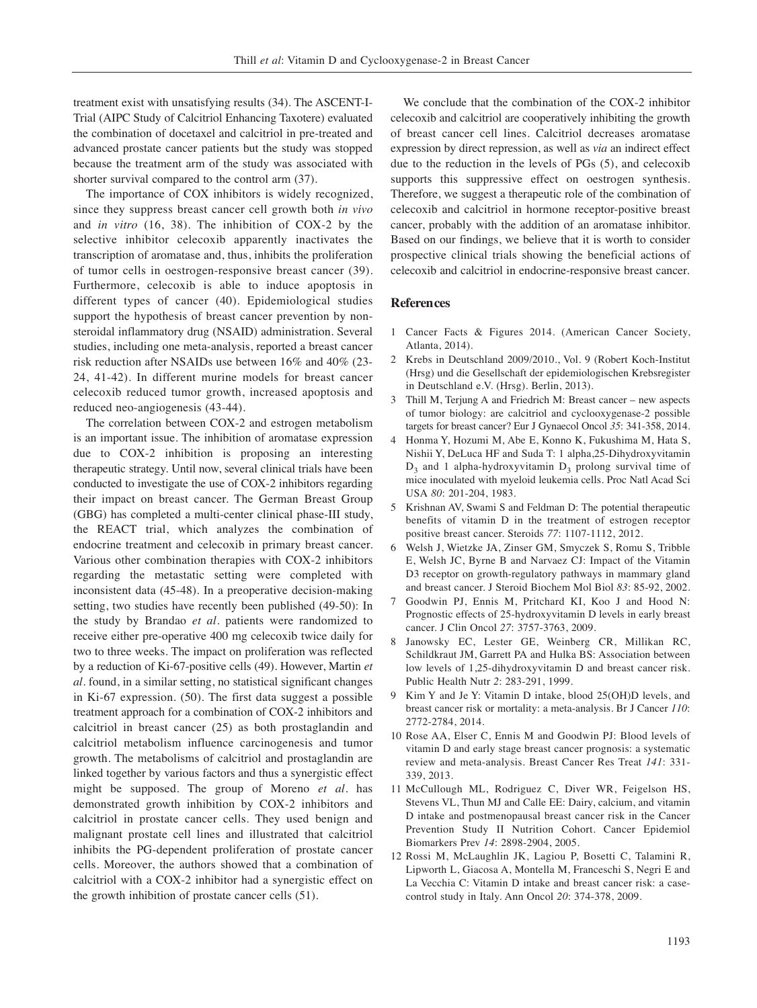treatment exist with unsatisfying results (34). The ASCENT-I-Trial (AIPC Study of Calcitriol Enhancing Taxotere) evaluated the combination of docetaxel and calcitriol in pre-treated and advanced prostate cancer patients but the study was stopped because the treatment arm of the study was associated with shorter survival compared to the control arm (37).

The importance of COX inhibitors is widely recognized, since they suppress breast cancer cell growth both *in vivo* and *in vitro* (16, 38). The inhibition of COX-2 by the selective inhibitor celecoxib apparently inactivates the transcription of aromatase and, thus, inhibits the proliferation of tumor cells in oestrogen-responsive breast cancer (39). Furthermore, celecoxib is able to induce apoptosis in different types of cancer (40). Epidemiological studies support the hypothesis of breast cancer prevention by nonsteroidal inflammatory drug (NSAID) administration. Several studies, including one meta-analysis, reported a breast cancer risk reduction after NSAIDs use between 16% and 40% (23- 24, 41-42). In different murine models for breast cancer celecoxib reduced tumor growth, increased apoptosis and reduced neo-angiogenesis (43-44).

The correlation between COX-2 and estrogen metabolism is an important issue. The inhibition of aromatase expression due to COX-2 inhibition is proposing an interesting therapeutic strategy. Until now, several clinical trials have been conducted to investigate the use of COX-2 inhibitors regarding their impact on breast cancer. The German Breast Group (GBG) has completed a multi-center clinical phase-III study, the REACT trial, which analyzes the combination of endocrine treatment and celecoxib in primary breast cancer. Various other combination therapies with COX-2 inhibitors regarding the metastatic setting were completed with inconsistent data (45-48). In a preoperative decision-making setting, two studies have recently been published (49-50): In the study by Brandao *et al.* patients were randomized to receive either pre-operative 400 mg celecoxib twice daily for two to three weeks. The impact on proliferation was reflected by a reduction of Ki-67-positive cells (49). However, Martin *et al.* found, in a similar setting, no statistical significant changes in Ki-67 expression. (50). The first data suggest a possible treatment approach for a combination of COX-2 inhibitors and calcitriol in breast cancer (25) as both prostaglandin and calcitriol metabolism influence carcinogenesis and tumor growth. The metabolisms of calcitriol and prostaglandin are linked together by various factors and thus a synergistic effect might be supposed. The group of Moreno *et al.* has demonstrated growth inhibition by COX-2 inhibitors and calcitriol in prostate cancer cells. They used benign and malignant prostate cell lines and illustrated that calcitriol inhibits the PG-dependent proliferation of prostate cancer cells. Moreover, the authors showed that a combination of calcitriol with a COX-2 inhibitor had a synergistic effect on the growth inhibition of prostate cancer cells (51).

We conclude that the combination of the COX-2 inhibitor celecoxib and calcitriol are cooperatively inhibiting the growth of breast cancer cell lines. Calcitriol decreases aromatase expression by direct repression, as well as *via* an indirect effect due to the reduction in the levels of PGs (5), and celecoxib supports this suppressive effect on oestrogen synthesis. Therefore, we suggest a therapeutic role of the combination of celecoxib and calcitriol in hormone receptor-positive breast cancer, probably with the addition of an aromatase inhibitor. Based on our findings, we believe that it is worth to consider prospective clinical trials showing the beneficial actions of celecoxib and calcitriol in endocrine-responsive breast cancer.

#### **References**

- 1 Cancer Facts & Figures 2014. (American Cancer Society, Atlanta, 2014).
- 2 Krebs in Deutschland 2009/2010., Vol. 9 (Robert Koch-Institut (Hrsg) und die Gesellschaft der epidemiologischen Krebsregister in Deutschland e.V. (Hrsg). Berlin, 2013).
- 3 Thill M, Terjung A and Friedrich M: Breast cancer new aspects of tumor biology: are calcitriol and cyclooxygenase-2 possible targets for breast cancer? Eur J Gynaecol Oncol *35*: 341-358, 2014.
- 4 Honma Y, Hozumi M, Abe E, Konno K, Fukushima M, Hata S, Nishii Y, DeLuca HF and Suda T: 1 alpha,25-Dihydroxyvitamin  $D_3$  and 1 alpha-hydroxyvitamin  $D_3$  prolong survival time of mice inoculated with myeloid leukemia cells. Proc Natl Acad Sci USA *80*: 201-204, 1983.
- 5 Krishnan AV, Swami S and Feldman D: The potential therapeutic benefits of vitamin D in the treatment of estrogen receptor positive breast cancer. Steroids *77*: 1107-1112, 2012.
- 6 Welsh J, Wietzke JA, Zinser GM, Smyczek S, Romu S, Tribble E, Welsh JC, Byrne B and Narvaez CJ: Impact of the Vitamin D3 receptor on growth-regulatory pathways in mammary gland and breast cancer. J Steroid Biochem Mol Biol *83*: 85-92, 2002.
- 7 Goodwin PJ, Ennis M, Pritchard KI, Koo J and Hood N: Prognostic effects of 25-hydroxyvitamin D levels in early breast cancer. J Clin Oncol *27*: 3757-3763, 2009.
- 8 Janowsky EC, Lester GE, Weinberg CR, Millikan RC, Schildkraut JM, Garrett PA and Hulka BS: Association between low levels of 1,25-dihydroxyvitamin D and breast cancer risk. Public Health Nutr *2*: 283-291, 1999.
- 9 Kim Y and Je Y: Vitamin D intake, blood 25(OH)D levels, and breast cancer risk or mortality: a meta-analysis. Br J Cancer *110*: 2772-2784, 2014.
- 10 Rose AA, Elser C, Ennis M and Goodwin PJ: Blood levels of vitamin D and early stage breast cancer prognosis: a systematic review and meta-analysis. Breast Cancer Res Treat *141*: 331- 339, 2013.
- 11 McCullough ML, Rodriguez C, Diver WR, Feigelson HS, Stevens VL, Thun MJ and Calle EE: Dairy, calcium, and vitamin D intake and postmenopausal breast cancer risk in the Cancer Prevention Study II Nutrition Cohort. Cancer Epidemiol Biomarkers Prev *14*: 2898-2904, 2005.
- 12 Rossi M, McLaughlin JK, Lagiou P, Bosetti C, Talamini R, Lipworth L, Giacosa A, Montella M, Franceschi S, Negri E and La Vecchia C: Vitamin D intake and breast cancer risk: a casecontrol study in Italy. Ann Oncol *20*: 374-378, 2009.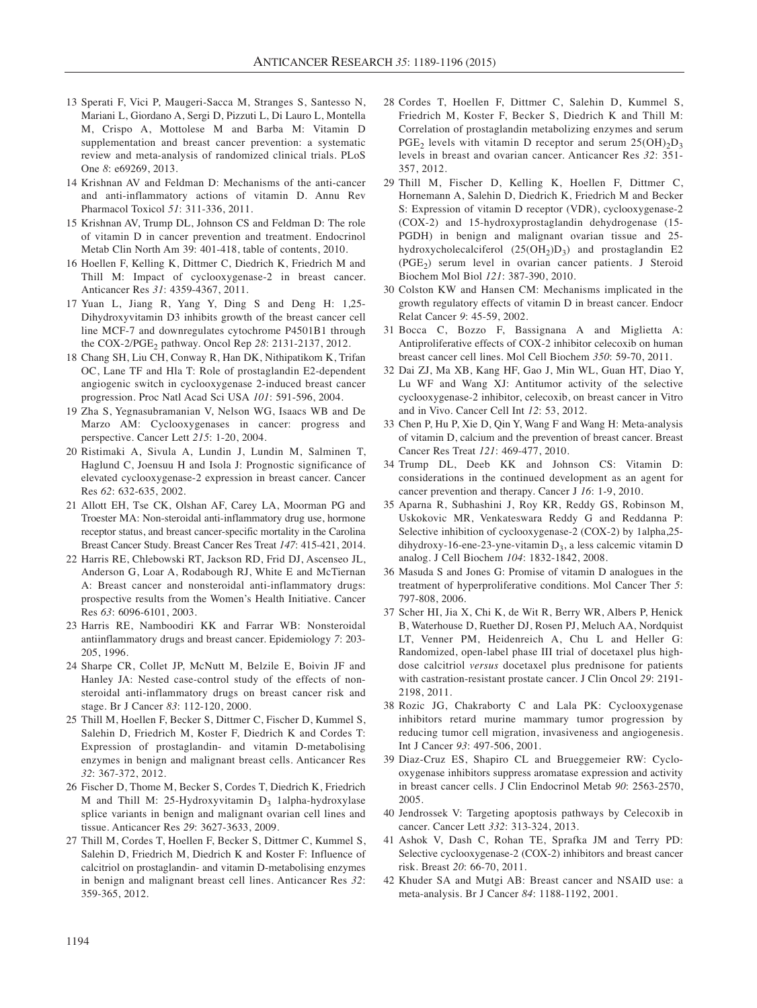- 13 Sperati F, Vici P, Maugeri-Sacca M, Stranges S, Santesso N, Mariani L, Giordano A, Sergi D, Pizzuti L, Di Lauro L, Montella M, Crispo A, Mottolese M and Barba M: Vitamin D supplementation and breast cancer prevention: a systematic review and meta-analysis of randomized clinical trials. PLoS One *8*: e69269, 2013.
- 14 Krishnan AV and Feldman D: Mechanisms of the anti-cancer and anti-inflammatory actions of vitamin D. Annu Rev Pharmacol Toxicol *51*: 311-336, 2011.
- 15 Krishnan AV, Trump DL, Johnson CS and Feldman D: The role of vitamin D in cancer prevention and treatment. Endocrinol Metab Clin North Am 39: 401-418, table of contents, 2010.
- 16 Hoellen F, Kelling K, Dittmer C, Diedrich K, Friedrich M and Thill M: Impact of cyclooxygenase-2 in breast cancer. Anticancer Res *31*: 4359-4367, 2011.
- 17 Yuan L, Jiang R, Yang Y, Ding S and Deng H: 1,25- Dihydroxyvitamin D3 inhibits growth of the breast cancer cell line MCF-7 and downregulates cytochrome P4501B1 through the COX-2/PGE2 pathway. Oncol Rep *28*: 2131-2137, 2012.
- 18 Chang SH, Liu CH, Conway R, Han DK, Nithipatikom K, Trifan OC, Lane TF and Hla T: Role of prostaglandin E2-dependent angiogenic switch in cyclooxygenase 2-induced breast cancer progression. Proc Natl Acad Sci USA *101*: 591-596, 2004.
- 19 Zha S, Yegnasubramanian V, Nelson WG, Isaacs WB and De Marzo AM: Cyclooxygenases in cancer: progress and perspective. Cancer Lett *215*: 1-20, 2004.
- 20 Ristimaki A, Sivula A, Lundin J, Lundin M, Salminen T, Haglund C, Joensuu H and Isola J: Prognostic significance of elevated cyclooxygenase-2 expression in breast cancer. Cancer Res *62*: 632-635, 2002.
- 21 Allott EH, Tse CK, Olshan AF, Carey LA, Moorman PG and Troester MA: Non-steroidal anti-inflammatory drug use, hormone receptor status, and breast cancer-specific mortality in the Carolina Breast Cancer Study. Breast Cancer Res Treat *147*: 415-421, 2014.
- 22 Harris RE, Chlebowski RT, Jackson RD, Frid DJ, Ascenseo JL, Anderson G, Loar A, Rodabough RJ, White E and McTiernan A: Breast cancer and nonsteroidal anti-inflammatory drugs: prospective results from the Women's Health Initiative. Cancer Res *63*: 6096-6101, 2003.
- 23 Harris RE, Namboodiri KK and Farrar WB: Nonsteroidal antiinflammatory drugs and breast cancer. Epidemiology *7*: 203- 205, 1996.
- 24 Sharpe CR, Collet JP, McNutt M, Belzile E, Boivin JF and Hanley JA: Nested case-control study of the effects of nonsteroidal anti-inflammatory drugs on breast cancer risk and stage. Br J Cancer *83*: 112-120, 2000.
- 25 Thill M, Hoellen F, Becker S, Dittmer C, Fischer D, Kummel S, Salehin D, Friedrich M, Koster F, Diedrich K and Cordes T: Expression of prostaglandin- and vitamin D-metabolising enzymes in benign and malignant breast cells. Anticancer Res *32*: 367-372, 2012.
- 26 Fischer D, Thome M, Becker S, Cordes T, Diedrich K, Friedrich M and Thill M: 25-Hydroxyvitamin  $D_3$  1alpha-hydroxylase splice variants in benign and malignant ovarian cell lines and tissue. Anticancer Res *29*: 3627-3633, 2009.
- 27 Thill M, Cordes T, Hoellen F, Becker S, Dittmer C, Kummel S, Salehin D, Friedrich M, Diedrich K and Koster F: Influence of calcitriol on prostaglandin- and vitamin D-metabolising enzymes in benign and malignant breast cell lines. Anticancer Res *32*: 359-365, 2012.
- 28 Cordes T, Hoellen F, Dittmer C, Salehin D, Kummel S, Friedrich M, Koster F, Becker S, Diedrich K and Thill M: Correlation of prostaglandin metabolizing enzymes and serum PGE<sub>2</sub> levels with vitamin D receptor and serum  $25(OH)_{2}D_{3}$ levels in breast and ovarian cancer. Anticancer Res *32*: 351- 357, 2012.
- 29 Thill M, Fischer D, Kelling K, Hoellen F, Dittmer C, Hornemann A, Salehin D, Diedrich K, Friedrich M and Becker S: Expression of vitamin D receptor (VDR), cyclooxygenase-2 (COX-2) and 15-hydroxyprostaglandin dehydrogenase (15- PGDH) in benign and malignant ovarian tissue and 25 hydroxycholecalciferol  $(25(OH<sub>2</sub>)D<sub>3</sub>)$  and prostaglandin E2 (PGE<sub>2</sub>) serum level in ovarian cancer patients. J Steroid Biochem Mol Biol *121*: 387-390, 2010.
- 30 Colston KW and Hansen CM: Mechanisms implicated in the growth regulatory effects of vitamin D in breast cancer. Endocr Relat Cancer *9*: 45-59, 2002.
- 31 Bocca C, Bozzo F, Bassignana A and Miglietta A: Antiproliferative effects of COX-2 inhibitor celecoxib on human breast cancer cell lines. Mol Cell Biochem *350*: 59-70, 2011.
- 32 Dai ZJ, Ma XB, Kang HF, Gao J, Min WL, Guan HT, Diao Y, Lu WF and Wang XJ: Antitumor activity of the selective cyclooxygenase-2 inhibitor, celecoxib, on breast cancer in Vitro and in Vivo. Cancer Cell Int *12*: 53, 2012.
- 33 Chen P, Hu P, Xie D, Qin Y, Wang F and Wang H: Meta-analysis of vitamin D, calcium and the prevention of breast cancer. Breast Cancer Res Treat *121*: 469-477, 2010.
- 34 Trump DL, Deeb KK and Johnson CS: Vitamin D: considerations in the continued development as an agent for cancer prevention and therapy. Cancer J *16*: 1-9, 2010.
- 35 Aparna R, Subhashini J, Roy KR, Reddy GS, Robinson M, Uskokovic MR, Venkateswara Reddy G and Reddanna P: Selective inhibition of cyclooxygenase-2 (COX-2) by 1alpha,25 dihydroxy-16-ene-23-yne-vitamin  $D_3$ , a less calcemic vitamin D analog. J Cell Biochem *104*: 1832-1842, 2008.
- 36 Masuda S and Jones G: Promise of vitamin D analogues in the treatment of hyperproliferative conditions. Mol Cancer Ther *5*: 797-808, 2006.
- 37 Scher HI, Jia X, Chi K, de Wit R, Berry WR, Albers P, Henick B, Waterhouse D, Ruether DJ, Rosen PJ, Meluch AA, Nordquist LT, Venner PM, Heidenreich A, Chu L and Heller G: Randomized, open-label phase III trial of docetaxel plus highdose calcitriol *versus* docetaxel plus prednisone for patients with castration-resistant prostate cancer. J Clin Oncol *29*: 2191- 2198, 2011.
- 38 Rozic JG, Chakraborty C and Lala PK: Cyclooxygenase inhibitors retard murine mammary tumor progression by reducing tumor cell migration, invasiveness and angiogenesis. Int J Cancer *93*: 497-506, 2001.
- 39 Diaz-Cruz ES, Shapiro CL and Brueggemeier RW: Cyclooxygenase inhibitors suppress aromatase expression and activity in breast cancer cells. J Clin Endocrinol Metab *90*: 2563-2570, 2005.
- 40 Jendrossek V: Targeting apoptosis pathways by Celecoxib in cancer. Cancer Lett *332*: 313-324, 2013.
- 41 Ashok V, Dash C, Rohan TE, Sprafka JM and Terry PD: Selective cyclooxygenase-2 (COX-2) inhibitors and breast cancer risk. Breast *20*: 66-70, 2011.
- 42 Khuder SA and Mutgi AB: Breast cancer and NSAID use: a meta-analysis. Br J Cancer *84*: 1188-1192, 2001.